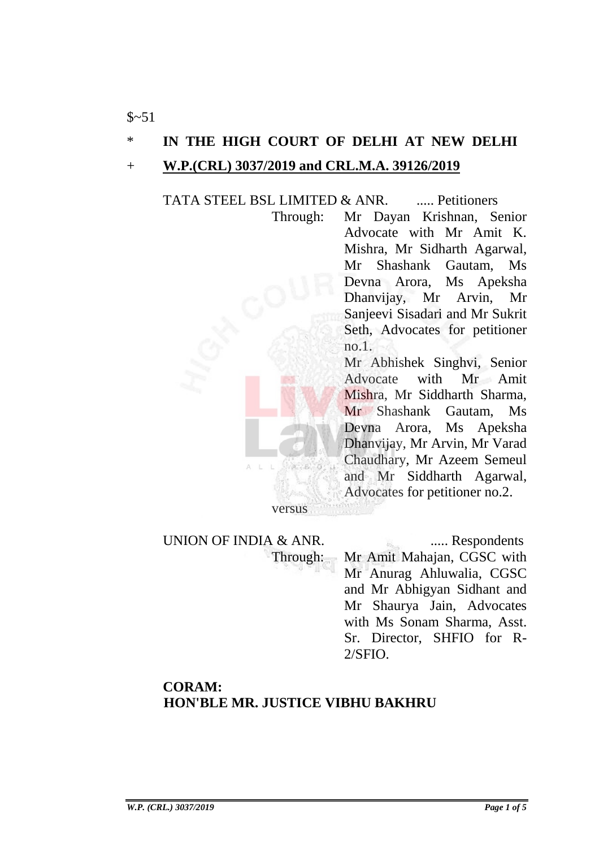### \* **IN THE HIGH COURT OF DELHI AT NEW DELHI**

#### + **W.P.(CRL) 3037/2019 and CRL.M.A. 39126/2019**

TATA STEEL BSL LIMITED & ANR. ...... Petitioners

Through: Mr Dayan Krishnan, Senior Advocate with Mr Amit K. Mishra, Mr Sidharth Agarwal, Mr Shashank Gautam, Ms Devna Arora, Ms Apeksha Dhanvijay, Mr Arvin, Mr Sanjeevi Sisadari and Mr Sukrit Seth, Advocates for petitioner no.1.

> Mr Abhishek Singhvi, Senior Advocate with Mr Amit Mishra, Mr Siddharth Sharma, Mr Shashank Gautam, Ms Devna Arora, Ms Apeksha Dhanvijay, Mr Arvin, Mr Varad Chaudhary, Mr Azeem Semeul and Mr Siddharth Agarwal, Advocates for petitioner no.2.

UNION OF INDIA & ANR. ...... Respondents Through: Mr Amit Mahajan, CGSC with

versus

Mr Anurag Ahluwalia, CGSC and Mr Abhigyan Sidhant and Mr Shaurya Jain, Advocates with Ms Sonam Sharma, Asst. Sr. Director, SHFIO for R-2/SFIO.

## **CORAM: HON'BLE MR. JUSTICE VIBHU BAKHRU**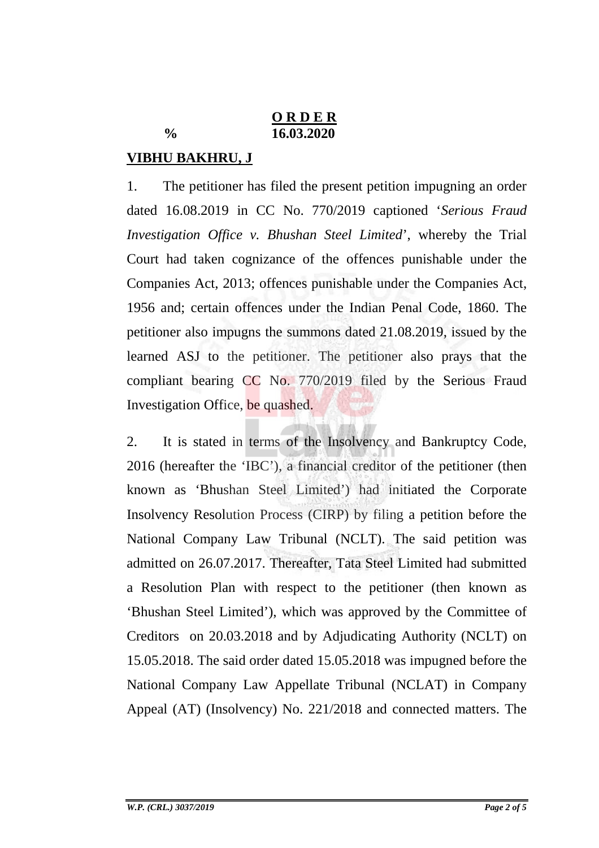### **O R D E R % 16.03.2020**

# **VIBHU BAKHRU, J**

1. The petitioner has filed the present petition impugning an order dated 16.08.2019 in CC No. 770/2019 captioned '*Serious Fraud Investigation Office v. Bhushan Steel Limited*', whereby the Trial Court had taken cognizance of the offences punishable under the Companies Act, 2013; offences punishable under the Companies Act, 1956 and; certain offences under the Indian Penal Code, 1860. The petitioner also impugns the summons dated 21.08.2019, issued by the learned ASJ to the petitioner. The petitioner also prays that the compliant bearing CC No. 770/2019 filed by the Serious Fraud Investigation Office, be quashed.

2. It is stated in terms of the Insolvency and Bankruptcy Code, 2016 (hereafter the 'IBC'), a financial creditor of the petitioner (then known as 'Bhushan Steel Limited') had initiated the Corporate Insolvency Resolution Process (CIRP) by filing a petition before the National Company Law Tribunal (NCLT). The said petition was admitted on 26.07.2017. Thereafter, Tata Steel Limited had submitted a Resolution Plan with respect to the petitioner (then known as 'Bhushan Steel Limited'), which was approved by the Committee of Creditors on 20.03.2018 and by Adjudicating Authority (NCLT) on 15.05.2018. The said order dated 15.05.2018 was impugned before the National Company Law Appellate Tribunal (NCLAT) in Company Appeal (AT) (Insolvency) No. 221/2018 and connected matters. The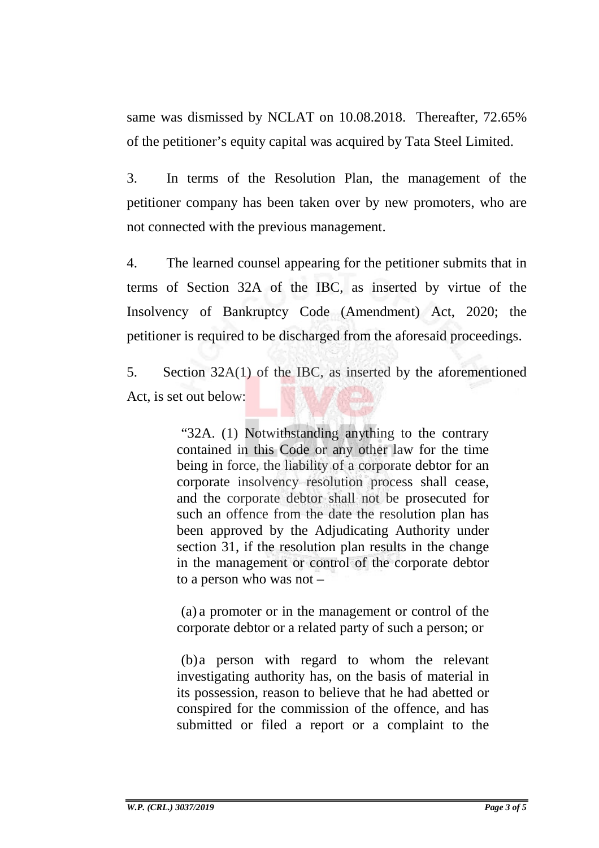same was dismissed by NCLAT on 10.08.2018. Thereafter, 72.65% of the petitioner's equity capital was acquired by Tata Steel Limited.

3. In terms of the Resolution Plan, the management of the petitioner company has been taken over by new promoters, who are not connected with the previous management.

4. The learned counsel appearing for the petitioner submits that in terms of Section 32A of the IBC, as inserted by virtue of the Insolvency of Bankruptcy Code (Amendment) Act, 2020; the petitioner is required to be discharged from the aforesaid proceedings.

5. Section 32A(1) of the IBC, as inserted by the aforementioned Act, is set out below:

> "32A. (1) Notwithstanding anything to the contrary contained in this Code or any other law for the time being in force, the liability of a corporate debtor for an corporate insolvency resolution process shall cease, and the corporate debtor shall not be prosecuted for such an offence from the date the resolution plan has been approved by the Adjudicating Authority under section 31, if the resolution plan results in the change in the management or control of the corporate debtor to a person who was not –

> (a) a promoter or in the management or control of the corporate debtor or a related party of such a person; or

> (b)a person with regard to whom the relevant investigating authority has, on the basis of material in its possession, reason to believe that he had abetted or conspired for the commission of the offence, and has submitted or filed a report or a complaint to the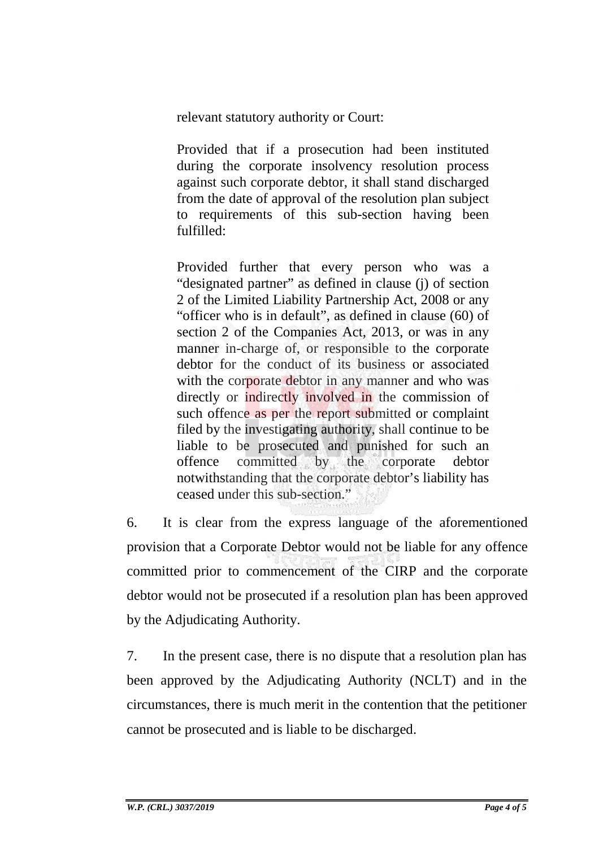relevant statutory authority or Court:

Provided that if a prosecution had been instituted during the corporate insolvency resolution process against such corporate debtor, it shall stand discharged from the date of approval of the resolution plan subject to requirements of this sub-section having been fulfilled:

Provided further that every person who was a "designated partner" as defined in clause (j) of section 2 of the Limited Liability Partnership Act, 2008 or any "officer who is in default", as defined in clause (60) of section 2 of the Companies Act, 2013, or was in any manner in-charge of, or responsible to the corporate debtor for the conduct of its business or associated with the corporate debtor in any manner and who was directly or indirectly involved in the commission of such offence as per the report submitted or complaint filed by the investigating authority, shall continue to be liable to be prosecuted and punished for such an offence committed by the corporate debtor notwithstanding that the corporate debtor's liability has ceased under this sub-section."

6. It is clear from the express language of the aforementioned provision that a Corporate Debtor would not be liable for any offence committed prior to commencement of the CIRP and the corporate debtor would not be prosecuted if a resolution plan has been approved by the Adjudicating Authority.

7. In the present case, there is no dispute that a resolution plan has been approved by the Adjudicating Authority (NCLT) and in the circumstances, there is much merit in the contention that the petitioner cannot be prosecuted and is liable to be discharged.